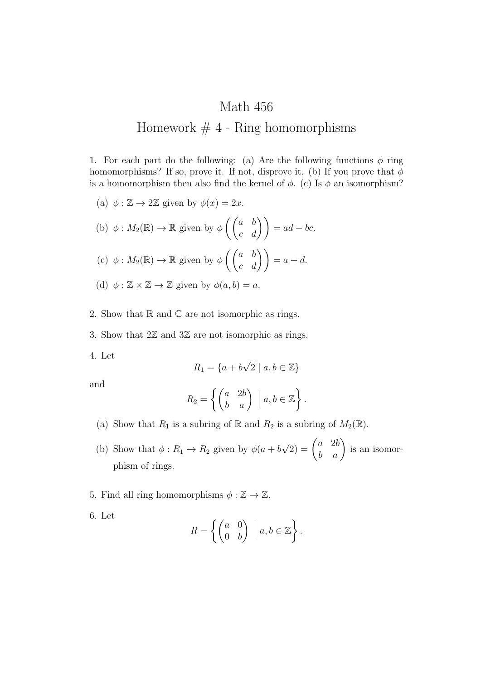## Math 456 Homework  $# 4$  - Ring homomorphisms

1. For each part do the following: (a) Are the following functions  $\phi$  ring homomorphisms? If so, prove it. If not, disprove it. (b) If you prove that  $\phi$ is a homomorphism then also find the kernel of  $\phi$ . (c) Is  $\phi$  an isomorphism?

(a) 
$$
\phi : \mathbb{Z} \to 2\mathbb{Z}
$$
 given by  $\phi(x) = 2x$ .  
\n(b)  $\phi : M_2(\mathbb{R}) \to \mathbb{R}$  given by  $\phi\left(\begin{pmatrix} a & b \\ c & d \end{pmatrix}\right) = ad - bc$ .  
\n(c)  $\phi : M_2(\mathbb{R}) \to \mathbb{R}$  given by  $\phi\left(\begin{pmatrix} a & b \\ c & d \end{pmatrix}\right) = a + d$ .  
\n(d)  $\phi : \mathbb{Z} \times \mathbb{Z} \to \mathbb{Z}$  given by  $\phi(a, b) = a$ .

- 2. Show that  $\mathbb R$  and  $\mathbb C$  are not isomorphic as rings.
- 3. Show that  $2\mathbb{Z}$  and  $3\mathbb{Z}$  are not isomorphic as rings.
- 4. Let

$$
R_1 = \{a + b\sqrt{2} \mid a, b \in \mathbb{Z}\}\
$$

and

$$
R_2 = \left\{ \begin{pmatrix} a & 2b \\ b & a \end{pmatrix} \; \middle| \; a, b \in \mathbb{Z} \right\}.
$$

- (a) Show that  $R_1$  is a subring of  $\mathbb R$  and  $R_2$  is a subring of  $M_2(\mathbb R)$ .
- (b) Show that  $\phi: R_1 \to R_2$  given by  $\phi(a+b)$  $\sqrt{2}$ ) =  $\begin{pmatrix} a & 2b \\ b & a \end{pmatrix}$  is an isomorphism of rings.
- 5. Find all ring homomorphisms  $\phi : \mathbb{Z} \to \mathbb{Z}$ .
- 6. Let

$$
R = \left\{ \begin{pmatrix} a & 0 \\ 0 & b \end{pmatrix} \; \middle| \; a, b \in \mathbb{Z} \right\}.
$$